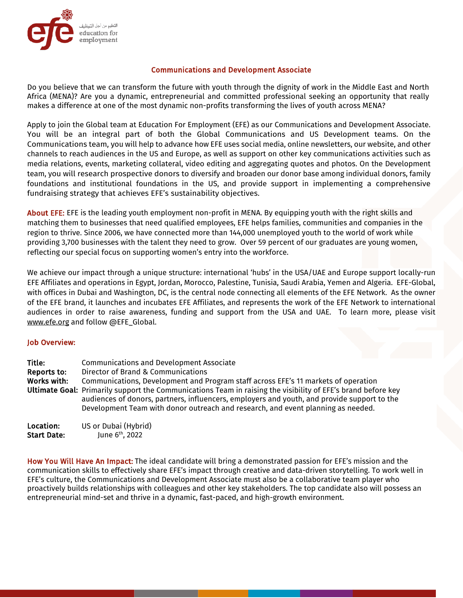

### Communications and Development Associate

Do you believe that we can transform the future with youth through the dignity of work in the Middle East and North Africa (MENA)? Are you a dynamic, entrepreneurial and committed professional seeking an opportunity that really makes a difference at one of the most dynamic non-profits transforming the lives of youth across MENA?

Apply to join the Global team at Education For Employment (EFE) as our Communications and Development Associate. You will be an integral part of both the Global Communications and US Development teams. On the Communications team, you will help to advance how EFE uses social media, online newsletters, our website, and other channels to reach audiences in the US and Europe, as well as support on other key communications activities such as media relations, events, marketing collateral, video editing and aggregating quotes and photos. On the Development team, you will research prospective donors to diversify and broaden our donor base among individual donors, family foundations and institutional foundations in the US, and provide support in implementing a comprehensive fundraising strategy that achieves EFE's sustainability objectives.

About EFE: EFE is the leading youth employment non-profit in MENA. By equipping youth with the right skills and matching them to businesses that need qualified employees, EFE helps families, communities and companies in the region to thrive. Since 2006, we have connected more than 144,000 unemployed youth to the world of work while providing 3,700 businesses with the talent they need to grow. Over 59 percent of our graduates are young women, reflecting our special focus on supporting women's entry into the workforce.

We achieve our impact through a unique structure: international 'hubs' in the USA/UAE and Europe support locally-run EFE Affiliates and operations in Egypt, Jordan, Morocco, Palestine, Tunisia, Saudi Arabia, Yemen and Algeria. EFE-Global, with offices in Dubai and Washington, DC, is the central node connecting all elements of the EFE Network. As the owner of the EFE brand, it launches and incubates EFE Affiliates, and represents the work of the EFE Network to international audiences in order to raise awareness, funding and support from the USA and UAE. To learn more, please visit www.efe.org and follow @EFE\_Global.

### Job Overview:

| Title:<br>Reports to:<br>Works with: | <b>Communications and Development Associate</b><br>Director of Brand & Communications<br>Communications, Development and Program staff across EFE's 11 markets of operation<br>Ultimate Goal: Primarily support the Communications Team in raising the visibility of EFE's brand before key<br>audiences of donors, partners, influencers, employers and youth, and provide support to the<br>Development Team with donor outreach and research, and event planning as needed. |
|--------------------------------------|--------------------------------------------------------------------------------------------------------------------------------------------------------------------------------------------------------------------------------------------------------------------------------------------------------------------------------------------------------------------------------------------------------------------------------------------------------------------------------|
| Location:                            | US or Dubai (Hybrid)                                                                                                                                                                                                                                                                                                                                                                                                                                                           |
| <b>Start Date:</b>                   | June 6 <sup>th</sup> , 2022                                                                                                                                                                                                                                                                                                                                                                                                                                                    |

How You Will Have An Impact: The ideal candidate will bring a demonstrated passion for EFE's mission and the communication skills to effectively share EFE's impact through creative and data-driven storytelling. To work well in EFE's culture, the Communications and Development Associate must also be a collaborative team player who proactively builds relationships with colleagues and other key stakeholders. The top candidate also will possess an entrepreneurial mind-set and thrive in a dynamic, fast-paced, and high-growth environment.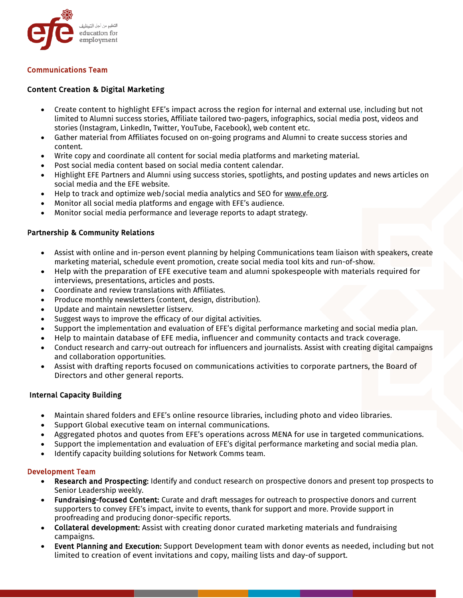

# Communications Team

# Content Creation & Digital Marketing

- Create content to highlight EFE's impact across the region for internal and external use, including but not limited to Alumni success stories, Affiliate tailored two-pagers, infographics, social media post, videos and stories (Instagram, LinkedIn, Twitter, YouTube, Facebook), web content etc.
- Gather material from Affiliates focused on on-going programs and Alumni to create success stories and content.
- Write copy and coordinate all content for social media platforms and marketing material.
- Post social media content based on social media content calendar.
- Highlight EFE Partners and Alumni using success stories, spotlights, and posting updates and news articles on social media and the EFE website.
- Help to track and optimize web/social media analytics and SEO for www.efe.org.
- Monitor all social media platforms and engage with EFE's audience.
- Monitor social media performance and leverage reports to adapt strategy.

### Partnership & Community Relations

- Assist with online and in-person event planning by helping Communications team liaison with speakers, create marketing material, schedule event promotion, create social media tool kits and run-of-show.
- Help with the preparation of EFE executive team and alumni spokespeople with materials required for interviews, presentations, articles and posts.
- Coordinate and review translations with Affiliates.
- Produce monthly newsletters (content, design, distribution).
- Update and maintain newsletter listserv.
- Suggest ways to improve the efficacy of our digital activities.
- Support the implementation and evaluation of EFE's digital performance marketing and social media plan.
- Help to maintain database of EFE media, influencer and community contacts and track coverage.
- Conduct research and carry-out outreach for influencers and journalists. Assist with creating digital campaigns and collaboration opportunities.
- Assist with drafting reports focused on communications activities to corporate partners, the Board of Directors and other general reports.

### Internal Capacity Building

- Maintain shared folders and EFE's online resource libraries, including photo and video libraries.
- Support Global executive team on internal communications.
- Aggregated photos and quotes from EFE's operations across MENA for use in targeted communications.
- Support the implementation and evaluation of EFE's digital performance marketing and social media plan.
- Identify capacity building solutions for Network Comms team.

### Development Team

- Research and Prospecting: Identify and conduct research on prospective donors and present top prospects to Senior Leadership weekly.
- Fundraising-focused Content: Curate and draft messages for outreach to prospective donors and current supporters to convey EFE's impact, invite to events, thank for support and more. Provide support in proofreading and producing donor-specific reports.
- Collateral development: Assist with creating donor curated marketing materials and fundraising campaigns.
- Event Planning and Execution: Support Development team with donor events as needed, including but not limited to creation of event invitations and copy, mailing lists and day-of support.